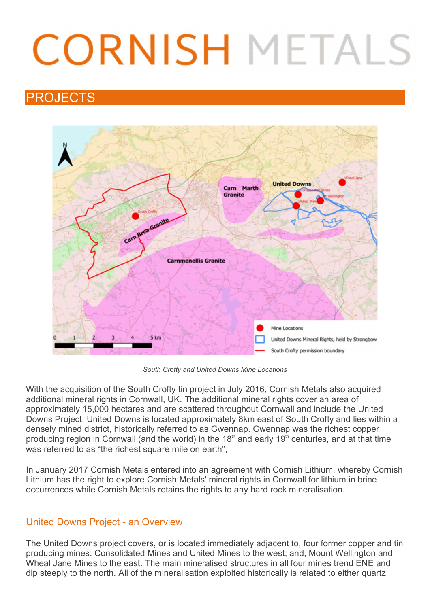# **CORNISH METALS**

# PROJECTS



South Crofty and United Downs Mine Locations

With the acquisition of the South Crofty tin project in July 2016, Cornish Metals also acquired additional mineral rights in Cornwall, UK. The additional mineral rights cover an area of approximately 15,000 hectares and are scattered throughout Cornwall and include the United Downs Project. United Downs is located approximately 8km east of South Crofty and lies within a densely mined district, historically referred to as Gwennap. Gwennap was the richest copper producing region in Cornwall (and the world) in the 18<sup>th</sup> and early 19<sup>th</sup> centuries, and at that time was referred to as "the richest square mile on earth":

In January 2017 Cornish Metals entered into an agreement with Cornish Lithium, whereby Cornish Lithium has the right to explore Cornish Metals' mineral rights in Cornwall for lithium in brine occurrences while Cornish Metals retains the rights to any hard rock mineralisation.

# United Downs Project - an Overview

The United Downs project covers, or is located immediately adjacent to, four former copper and tin producing mines: Consolidated Mines and United Mines to the west; and, Mount Wellington and Wheal Jane Mines to the east. The main mineralised structures in all four mines trend ENE and dip steeply to the north. All of the mineralisation exploited historically is related to either quartz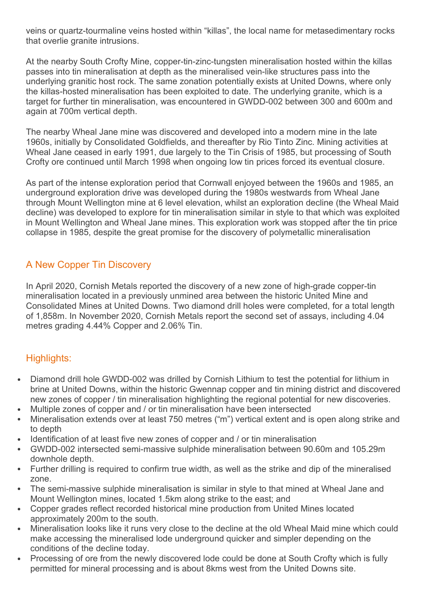veins or quartz-tourmaline veins hosted within "killas", the local name for metasedimentary rocks that overlie granite intrusions.

At the nearby South Crofty Mine, copper-tin-zinc-tungsten mineralisation hosted within the killas passes into tin mineralisation at depth as the mineralised vein-like structures pass into the underlying granitic host rock. The same zonation potentially exists at United Downs, where only the killas-hosted mineralisation has been exploited to date. The underlying granite, which is a target for further tin mineralisation, was encountered in GWDD-002 between 300 and 600m and again at 700m vertical depth.

The nearby Wheal Jane mine was discovered and developed into a modern mine in the late 1960s, initially by Consolidated Goldfields, and thereafter by Rio Tinto Zinc. Mining activities at Wheal Jane ceased in early 1991, due largely to the Tin Crisis of 1985, but processing of South Crofty ore continued until March 1998 when ongoing low tin prices forced its eventual closure.

As part of the intense exploration period that Cornwall enjoyed between the 1960s and 1985, an underground exploration drive was developed during the 1980s westwards from Wheal Jane through Mount Wellington mine at 6 level elevation, whilst an exploration decline (the Wheal Maid decline) was developed to explore for tin mineralisation similar in style to that which was exploited in Mount Wellington and Wheal Jane mines. This exploration work was stopped after the tin price collapse in 1985, despite the great promise for the discovery of polymetallic mineralisation

#### A New Copper Tin Discovery

In April 2020, Cornish Metals reported the discovery of a new zone of high-grade copper-tin mineralisation located in a previously unmined area between the historic United Mine and Consolidated Mines at United Downs. Two diamond drill holes were completed, for a total length of 1,858m. In November 2020, Cornish Metals report the second set of assays, including 4.04 metres grading 4.44% Copper and 2.06% Tin.

# Highlights:

- Diamond drill hole GWDD-002 was drilled by Cornish Lithium to test the potential for lithium in brine at United Downs, within the historic Gwennap copper and tin mining district and discovered new zones of copper / tin mineralisation highlighting the regional potential for new discoveries.
- Multiple zones of copper and / or tin mineralisation have been intersected
- Mineralisation extends over at least 750 metres ("m") vertical extent and is open along strike and to depth
- Identification of at least five new zones of copper and / or tin mineralisation
- GWDD-002 intersected semi-massive sulphide mineralisation between 90.60m and 105.29m downhole depth.
- Further drilling is required to confirm true width, as well as the strike and dip of the mineralised zone.
- The semi-massive sulphide mineralisation is similar in style to that mined at Wheal Jane and Mount Wellington mines, located 1.5km along strike to the east; and
- Copper grades reflect recorded historical mine production from United Mines located approximately 200m to the south.
- Mineralisation looks like it runs very close to the decline at the old Wheal Maid mine which could make accessing the mineralised lode underground quicker and simpler depending on the conditions of the decline today.
- Processing of ore from the newly discovered lode could be done at South Crofty which is fully permitted for mineral processing and is about 8kms west from the United Downs site.